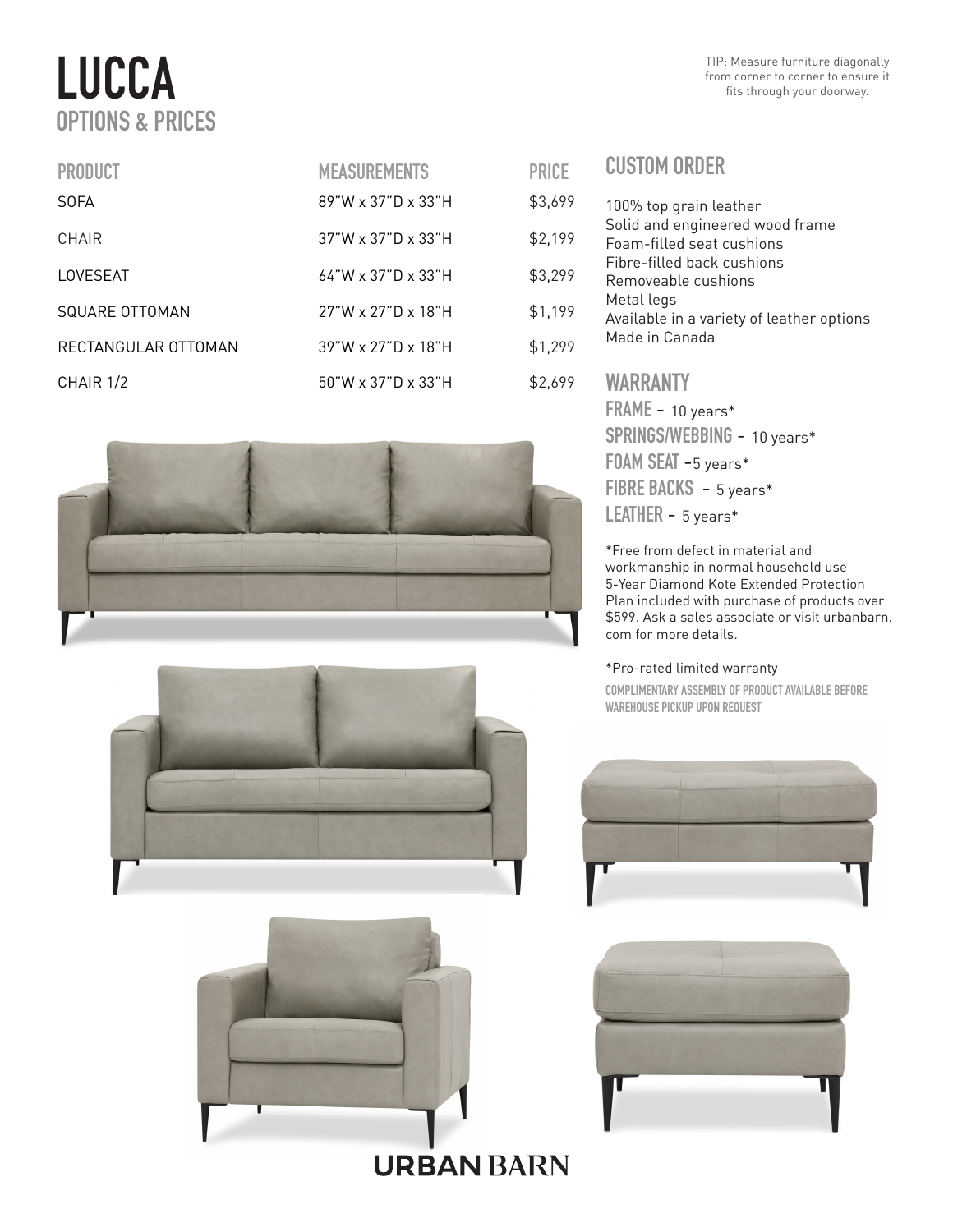# LUCCA OPTIONS & PRICES

| <b>PRODUCT</b>      | <b>MEASUREMENTS</b>   | <b>PRICE</b> |
|---------------------|-----------------------|--------------|
| <b>SOFA</b>         | $89"$ W x 37"D x 33"H | \$3,699      |
| CHAIR               | 37"W x 37"D x 33"H    | \$2,199      |
| LOVESEAT            | 64"W x 37"D x 33"H    | \$3,299      |
| SQUARE OTTOMAN      | 27"W x 27"D x 18"H    | \$1,199      |
| RECTANGULAR OTTOMAN | 39"W x 27"D x 18"H    | \$1,299      |
| CHAIR 1/2           | $50$ "W x 37"D x 33"H | \$2,699      |







| <b>PRICE</b> | <b>CUSTOM ORDER</b>                                                                                               |
|--------------|-------------------------------------------------------------------------------------------------------------------|
| \$3,699      | 100% top grain leather                                                                                            |
| \$2,199      | Solid and engineered wood frame<br>Foam-filled seat cushions<br>Fibre-filled back cushions<br>Removeable cushions |
| \$3,299      |                                                                                                                   |
| \$1,199      | Metal legs<br>Available in a variety of leather options                                                           |
| \$1,299      | Made in Canada                                                                                                    |
| \$2,699      | <b>WARRANTY</b>                                                                                                   |
|              | $FRAME - 10 years*$                                                                                               |
|              | $SPRINGS/WEBBING - 10 years*$                                                                                     |

SPRINGS/WEBBING - 10 years\* FOAM SEAT -5 years\* FIBRE BACKS - 5 years\* LEATHER - 5 years\*

\*Free from defect in material and workmanship in normal household use 5-Year Diamond Kote Extended Protection Plan included with purchase of products over \$599. Ask a sales associate or visit urbanbarn. com for more details.

### \*Pro-rated limited warranty

COMPLIMENTARY ASSEMBLY OF PRODUCT AVAILABLE BEFORE WAREHOUSE PICKUP UPON REQUEST





**URBAN BARN**